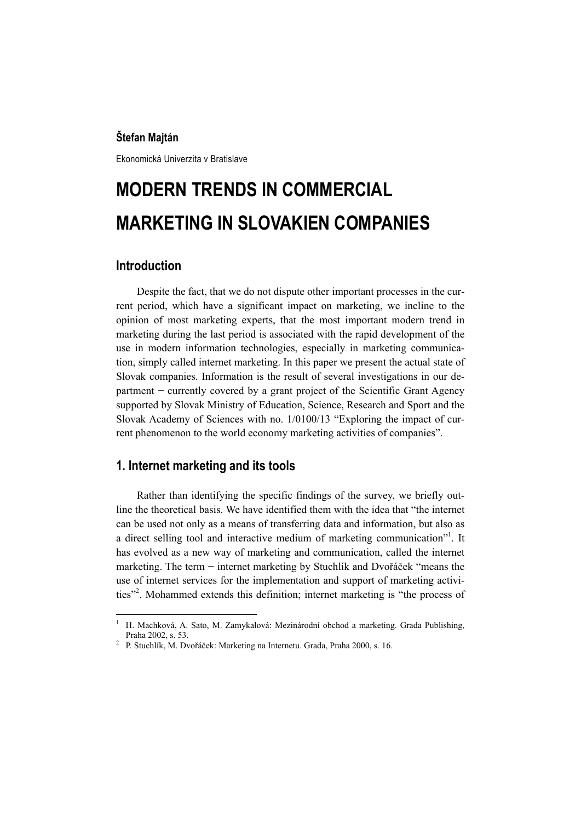#### **Štefan Majtán**

Ekonomická Univerzita v Bratislave

# **MODERN TRENDS IN COMMERCIAL MARKETING IN SLOVAKIEN COMPANIES**

## **Introduction**

Despite the fact, that we do not dispute other important processes in the current period, which have a significant impact on marketing, we incline to the opinion of most marketing experts, that the most important modern trend in marketing during the last period is associated with the rapid development of the use in modern information technologies, especially in marketing communication, simply called internet marketing. In this paper we present the actual state of Slovak companies. Information is the result of several investigations in our department − currently covered by a grant project of the Scientific Grant Agency supported by Slovak Ministry of Education, Science, Research and Sport and the Slovak Academy of Sciences with no. 1/0100/13 "Exploring the impact of current phenomenon to the world economy marketing activities of companies".

## **1. Internet marketing and its tools**

Rather than identifying the specific findings of the survey, we briefly outline the theoretical basis. We have identified them with the idea that "the internet can be used not only as a means of transferring data and information, but also as a direct selling tool and interactive medium of marketing communication"<sup>1</sup>. It has evolved as a new way of marketing and communication, called the internet marketing. The term − internet marketing by Stuchlík and Dvořáček "means the use of internet services for the implementation and support of marketing activities"<sup>2</sup>. Mohammed extends this definition; internet marketing is "the process of

 1 H. Machková, A. Sato, M. Zamykalová: Mezinárodní obchod a marketing. Grada Publishing, Praha 2002, s. 53. 2

<sup>&</sup>lt;sup>2</sup> P. Stuchlík, M. Dvořáček: Marketing na Internetu. Grada, Praha 2000, s. 16.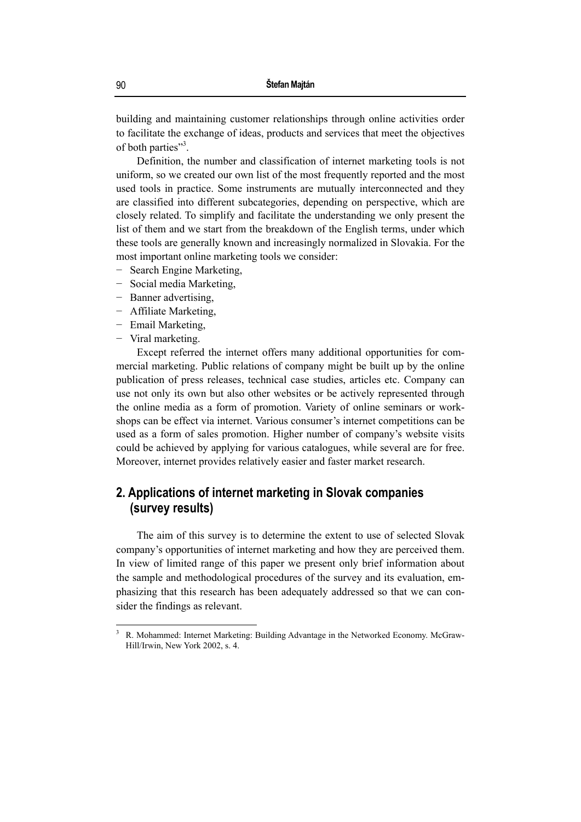building and maintaining customer relationships through online activities order to facilitate the exchange of ideas, products and services that meet the objectives of both parties"<sup>3</sup>.

Definition, the number and classification of internet marketing tools is not uniform, so we created our own list of the most frequently reported and the most used tools in practice. Some instruments are mutually interconnected and they are classified into different subcategories, depending on perspective, which are closely related. To simplify and facilitate the understanding we only present the list of them and we start from the breakdown of the English terms, under which these tools are generally known and increasingly normalized in Slovakia. For the most important online marketing tools we consider:

- − Search Engine Marketing,
- Social media Marketing,
- − Banner advertising,
- − Affiliate Marketing,
- − Email Marketing,
- − Viral marketing.

 $\overline{a}$ 

Except referred the internet offers many additional opportunities for commercial marketing. Public relations of company might be built up by the online publication of press releases, technical case studies, articles etc. Company can use not only its own but also other websites or be actively represented through the online media as a form of promotion. Variety of online seminars or workshops can be effect via internet. Various consumer's internet competitions can be used as a form of sales promotion. Higher number of company's website visits could be achieved by applying for various catalogues, while several are for free. Moreover, internet provides relatively easier and faster market research.

## **2. Applications of internet marketing in Slovak companies (survey results)**

The aim of this survey is to determine the extent to use of selected Slovak company's opportunities of internet marketing and how they are perceived them. In view of limited range of this paper we present only brief information about the sample and methodological procedures of the survey and its evaluation, emphasizing that this research has been adequately addressed so that we can consider the findings as relevant.

<sup>3</sup> R. Mohammed: Internet Marketing: Building Advantage in the Networked Economy. McGraw-Hill/Irwin, New York 2002, s. 4.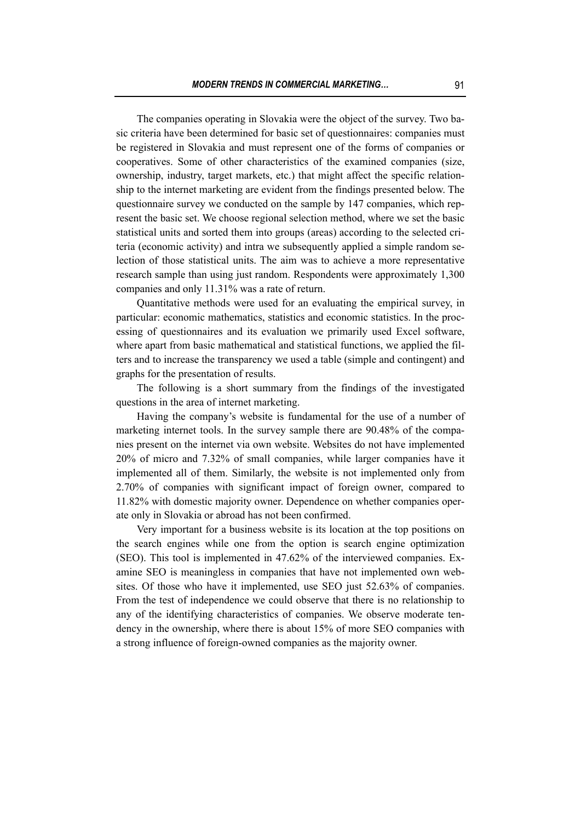The companies operating in Slovakia were the object of the survey. Two basic criteria have been determined for basic set of questionnaires: companies must be registered in Slovakia and must represent one of the forms of companies or cooperatives. Some of other characteristics of the examined companies (size, ownership, industry, target markets, etc.) that might affect the specific relationship to the internet marketing are evident from the findings presented below. The questionnaire survey we conducted on the sample by 147 companies, which represent the basic set. We choose regional selection method, where we set the basic statistical units and sorted them into groups (areas) according to the selected criteria (economic activity) and intra we subsequently applied a simple random selection of those statistical units. The aim was to achieve a more representative research sample than using just random. Respondents were approximately 1,300 companies and only 11.31% was a rate of return.

Quantitative methods were used for an evaluating the empirical survey, in particular: economic mathematics, statistics and economic statistics. In the processing of questionnaires and its evaluation we primarily used Excel software, where apart from basic mathematical and statistical functions, we applied the filters and to increase the transparency we used a table (simple and contingent) and graphs for the presentation of results.

The following is a short summary from the findings of the investigated questions in the area of internet marketing.

Having the company's website is fundamental for the use of a number of marketing internet tools. In the survey sample there are 90.48% of the companies present on the internet via own website. Websites do not have implemented 20% of micro and 7.32% of small companies, while larger companies have it implemented all of them. Similarly, the website is not implemented only from 2.70% of companies with significant impact of foreign owner, compared to 11.82% with domestic majority owner. Dependence on whether companies operate only in Slovakia or abroad has not been confirmed.

Very important for a business website is its location at the top positions on the search engines while one from the option is search engine optimization (SEO). This tool is implemented in 47.62% of the interviewed companies. Examine SEO is meaningless in companies that have not implemented own websites. Of those who have it implemented, use SEO just 52.63% of companies. From the test of independence we could observe that there is no relationship to any of the identifying characteristics of companies. We observe moderate tendency in the ownership, where there is about 15% of more SEO companies with a strong influence of foreign-owned companies as the majority owner.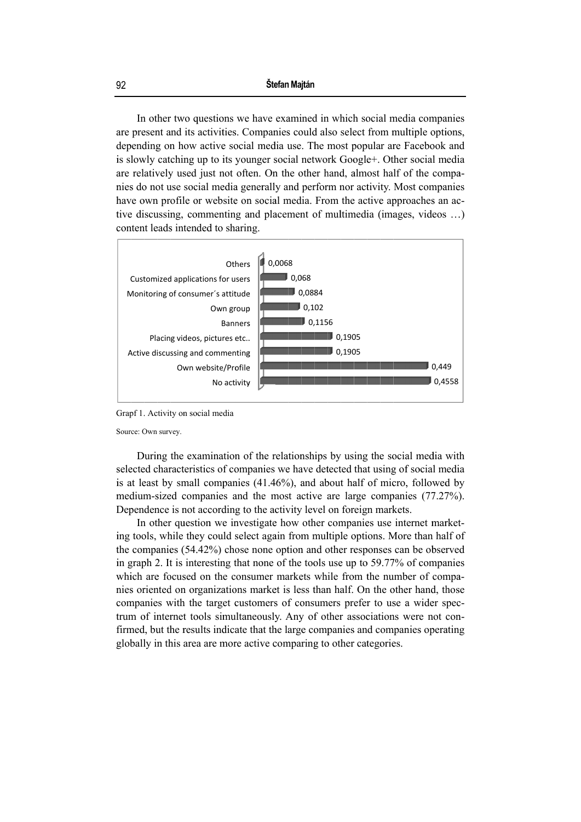In other two questions we have examined in which social media companies are present and its activities. Companies could also select from multiple options, depending on how active social media use. The most popular are Facebook and is slowly catching up to its younger social network Google+. Other social media are relatively used just not often. On the other hand, almost half of the companies do not use social media generally and perform nor activity. Most companies have own profile or website on social media. From the active approaches an active discussing, commenting and placement of multimedia (images, videos ...) content leads intended to sharing.



Grapf 1. Activity on social media

Source: Own survey.

During the examination of the relationships by using the social media with selected characteristics of companies we have detected that using of social media is at least by small companies (41.46%), and about half of micro, followed by medium-sized companies and the most active are large companies (77.27%). Dependence is not according to the activity level on foreign markets.

In other question we investigate how other companies use internet marketing tools, while they could select again from multiple options. More than half of the companies (54.42%) chose none option and other responses can be observed in graph 2. It is interesting that none of the tools use up to 59.77% of companies which are focused on the consumer markets while from the number of companies oriented on organizations market is less than half. On the other hand, those companies with the target customers of consumers prefer to use a wider spectrum of internet tools simultaneously. Any of other associations were not confirmed, but the results indicate that the large companies and companies operating globally in this area are more active comparing to other categories.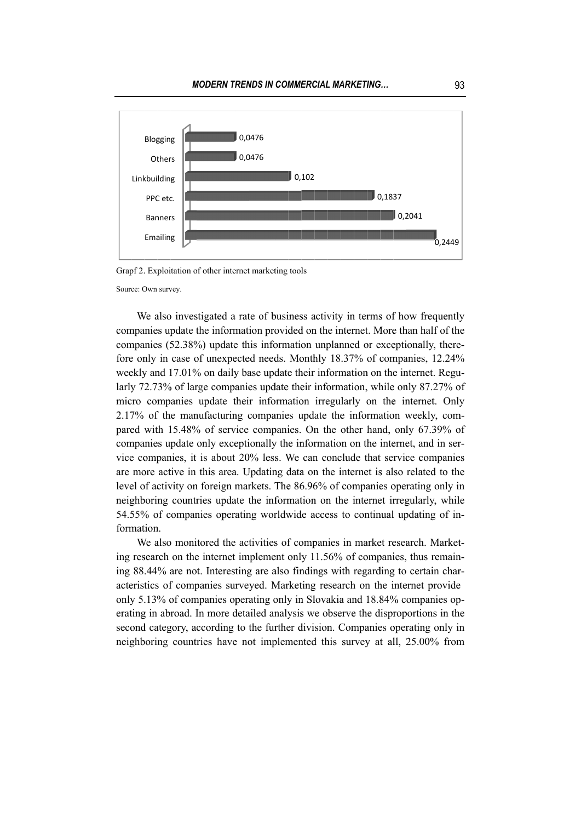

Grapf 2. Exploitation of other internet marketing tools

Source: Own survey.

We also investigated a rate of business activity in terms of how frequently companies update the information provided on the internet. More than half of the companies (52.38%) update this information unplanned or exceptionally, therefore only in case of unexpected needs. Monthly 18.37% of companies, 12.24% weekly and 17.01% on daily base update their information on the internet. Regularly 72.73% of large companies update their information, while only 87.27% of micro companies update their information irregularly on the internet. Only 2.17% of the manufacturing companies update the information weekly, compared with 15.48% of service companies. On the other hand, only 67.39% of companies update only exceptionally the information on the internet, and in service companies, it is about 20% less. We can conclude that service companies are more active in this area. Updating data on the internet is also related to the level of activity on foreign markets. The 86.96% of companies operating only in neighboring countries update the information on the internet irregularly, while 54.55% of companies operating worldwide access to continual updating of information.

We also monitored the activities of companies in market research. Marketing research on the internet implement only 11.56% of companies, thus remaining 88.44% are not. Interesting are also findings with regarding to certain characteristics of companies surveyed. Marketing research on the internet provide only 5.13% of companies operating only in Slovakia and 18.84% companies operating in abroad. In more detailed analysis we observe the disproportions in the second category, according to the further division. Companies operating only in neighboring countries have not implemented this survey at all, 25.00% from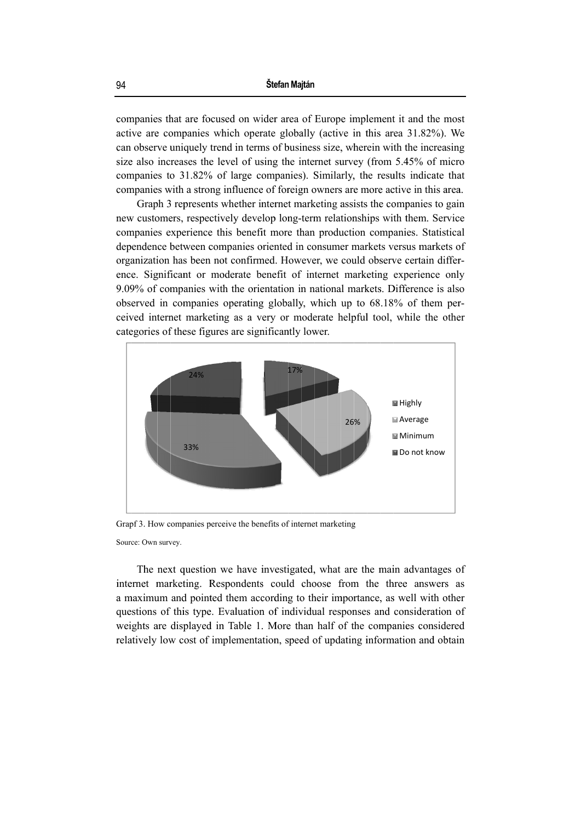companies that are focused on wider area of Europe implement it and the most active are companies which operate globally (active in this area 31.82%). We can observe uniquely trend in terms of business size, wherein with the increasing size also increases the level of using the internet survey (from 5.45% of micro companies to 31.82% of large companies). Similarly, the results indicate that companies with a strong influence of foreign owners are more active in this area.

Graph 3 represents whether internet marketing assists the companies to gain new customers, respectively develop long-term relationships with them. Service companies experience this benefit more than production companies. Statistical dependence between companies oriented in consumer markets versus markets of organization has been not confirmed. However, we could observe certain difference. Significant or moderate benefit of internet marketing experience only 9.09% of companies with the orientation in national markets. Difference is also observed in companies operating globally, which up to 68.18% of them perceived internet marketing as a very or moderate helpful tool, while the other categories of these figures are significantly lower.



Grapf 3. How companies perceive the benefits of internet marketing

Source: Own survey.

The next question we have investigated, what are the main advantages of internet marketing. Respondents could choose from the three answers as a maximum and pointed them according to their importance, as well with other questions of this type. Evaluation of individual responses and consideration of weights are displayed in Table 1. More than half of the companies considered relatively low cost of implementation, speed of updating information and obtain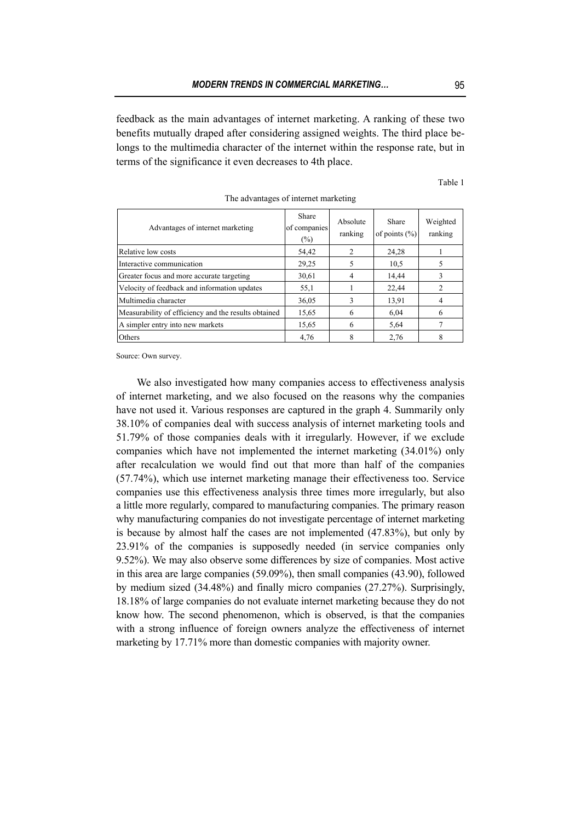feedback as the main advantages of internet marketing. A ranking of these two benefits mutually draped after considering assigned weights. The third place belongs to the multimedia character of the internet within the response rate, but in terms of the significance it even decreases to 4th place.

| Advantages of internet marketing                     | Share<br>of companies<br>$(\%)$ | Absolute<br>ranking | Share<br>of points $(\% )$ | Weighted<br>ranking |
|------------------------------------------------------|---------------------------------|---------------------|----------------------------|---------------------|
| Relative low costs                                   | 54,42                           | $\overline{c}$      | 24,28                      |                     |
| Interactive communication                            | 29,25                           | 5                   | 10.5                       | 5                   |
| Greater focus and more accurate targeting            | 30,61                           | 4                   | 14,44                      |                     |
| Velocity of feedback and information updates         | 55,1                            |                     | 22,44                      | 2                   |
| Multimedia character                                 | 36,05                           | 3                   | 13,91                      | 4                   |
| Measurability of efficiency and the results obtained | 15,65                           | 6                   | 6,04                       | 6                   |
| A simpler entry into new markets                     | 15,65                           | 6                   | 5,64                       | 7                   |
| Others                                               | 4,76                            | 8                   | 2,76                       | 8                   |

The advantages of internet marketing

Source: Own survey.

We also investigated how many companies access to effectiveness analysis of internet marketing, and we also focused on the reasons why the companies have not used it. Various responses are captured in the graph 4. Summarily only 38.10% of companies deal with success analysis of internet marketing tools and 51.79% of those companies deals with it irregularly. However, if we exclude companies which have not implemented the internet marketing (34.01%) only after recalculation we would find out that more than half of the companies (57.74%), which use internet marketing manage their effectiveness too. Service companies use this effectiveness analysis three times more irregularly, but also a little more regularly, compared to manufacturing companies. The primary reason why manufacturing companies do not investigate percentage of internet marketing is because by almost half the cases are not implemented (47.83%), but only by 23.91% of the companies is supposedly needed (in service companies only 9.52%). We may also observe some differences by size of companies. Most active in this area are large companies (59.09%), then small companies (43.90), followed by medium sized (34.48%) and finally micro companies (27.27%). Surprisingly, 18.18% of large companies do not evaluate internet marketing because they do not know how. The second phenomenon, which is observed, is that the companies with a strong influence of foreign owners analyze the effectiveness of internet marketing by 17.71% more than domestic companies with majority owner.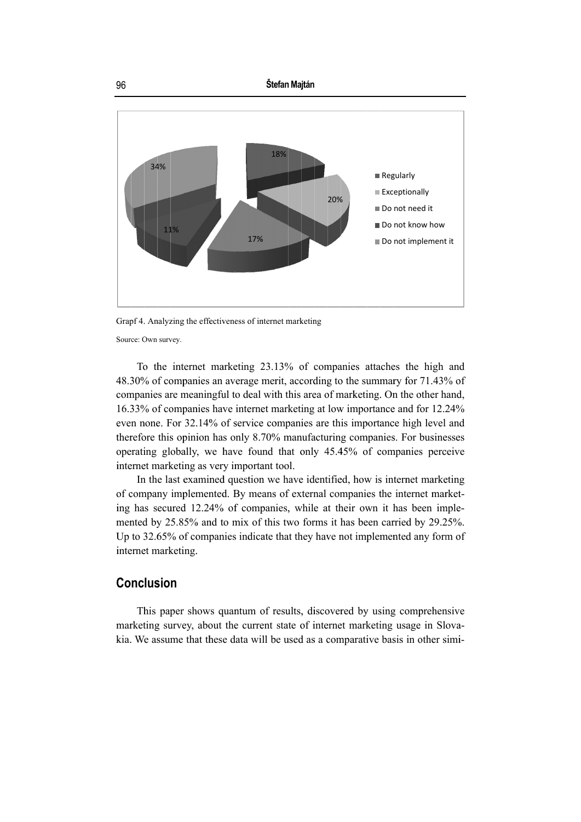

Grapf 4. Analyzing the effectiveness of internet marketing

Source: Own survey.

To the internet marketing 23.13% of companies attaches the high and 48.30% of companies an average merit, according to the summary for 71.43% of companies are meaningful to deal with this area of marketing. On the other hand, 16.33% of companies have internet marketing at low importance and for 12.24% even none. For 32.14% of service companies are this importance high level and therefore this opinion has only 8.70% manufacturing companies. For businesses operating globally, we have found that only 45.45% of companies perceive internet marketing as very important tool.

In the last examined question we have identified, how is internet marketing of company implemented. By means of external companies the internet marketing has secured 12.24% of companies, while at their own it has been implemented by 25.85% and to mix of this two forms it has been carried by 29.25%. Up to 32.65% of companies indicate that they have not implemented any form of internet marketing.

## Conclusion

This paper shows quantum of results, discovered by using comprehensive marketing survey, about the current state of internet marketing usage in Slovakia. We assume that these data will be used as a comparative basis in other simi